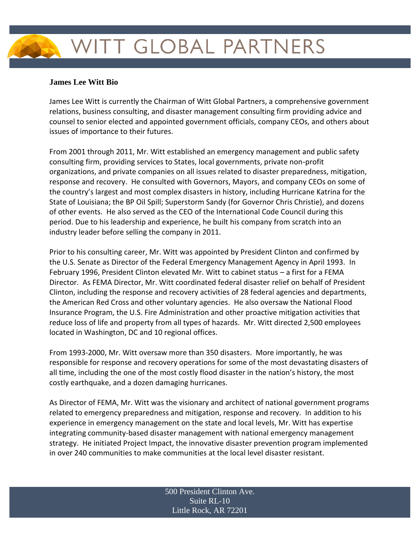## WITT GLOBAL PARTNERS

## **James Lee Witt Bio**

James Lee Witt is currently the Chairman of Witt Global Partners, a comprehensive government relations, business consulting, and disaster management consulting firm providing advice and counsel to senior elected and appointed government officials, company CEOs, and others about issues of importance to their futures.

From 2001 through 2011, Mr. Witt established an emergency management and public safety consulting firm, providing services to States, local governments, private non-profit organizations, and private companies on all issues related to disaster preparedness, mitigation, response and recovery. He consulted with Governors, Mayors, and company CEOs on some of the country's largest and most complex disasters in history, including Hurricane Katrina for the State of Louisiana; the BP Oil Spill; Superstorm Sandy (for Governor Chris Christie), and dozens of other events. He also served as the CEO of the International Code Council during this period. Due to his leadership and experience, he built his company from scratch into an industry leader before selling the company in 2011.

Prior to his consulting career, Mr. Witt was appointed by President Clinton and confirmed by the U.S. Senate as Director of the Federal Emergency Management Agency in April 1993. In February 1996, President Clinton elevated Mr. Witt to cabinet status – a first for a FEMA Director. As FEMA Director, Mr. Witt coordinated federal disaster relief on behalf of President Clinton, including the response and recovery activities of 28 federal agencies and departments, the American Red Cross and other voluntary agencies. He also oversaw the National Flood Insurance Program, the U.S. Fire Administration and other proactive mitigation activities that reduce loss of life and property from all types of hazards. Mr. Witt directed 2,500 employees located in Washington, DC and 10 regional offices.

From 1993-2000, Mr. Witt oversaw more than 350 disasters. More importantly, he was responsible for response and recovery operations for some of the most devastating disasters of all time, including the one of the most costly flood disaster in the nation's history, the most costly earthquake, and a dozen damaging hurricanes.

As Director of FEMA, Mr. Witt was the visionary and architect of national government programs related to emergency preparedness and mitigation, response and recovery. In addition to his experience in emergency management on the state and local levels, Mr. Witt has expertise integrating community-based disaster management with national emergency management strategy. He initiated Project Impact, the innovative disaster prevention program implemented in over 240 communities to make communities at the local level disaster resistant.

> 500 President Clinton Ave. Suite RL-10 Little Rock, AR 72201